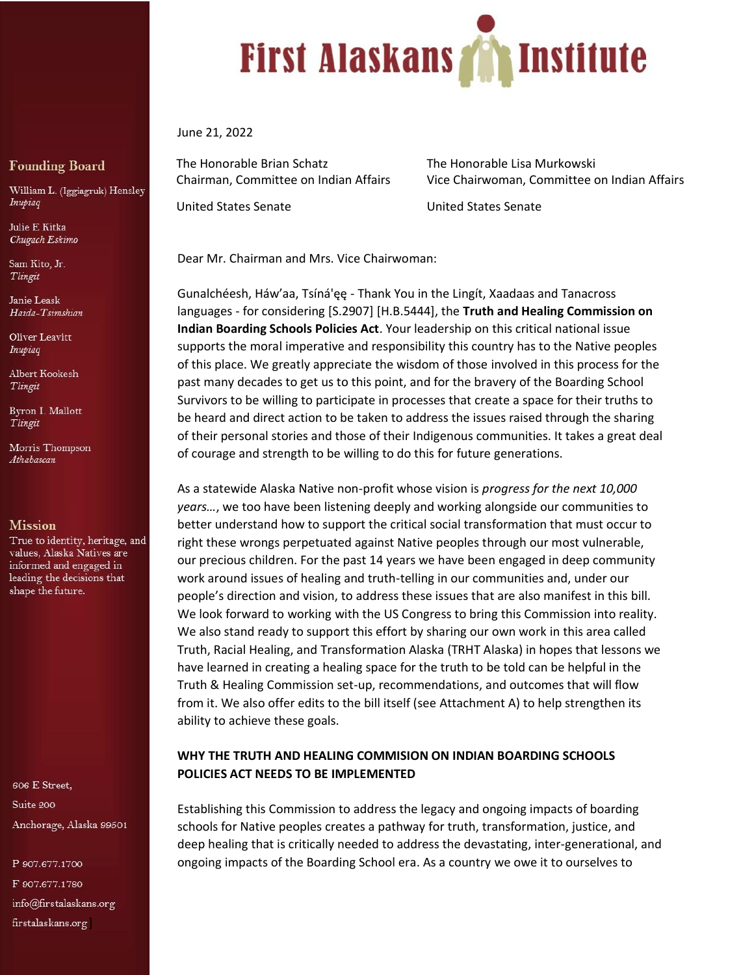

June 21, 2022

The Honorable Brian Schatz The Honorable Lisa Murkowski

Chairman, Committee on Indian Affairs Vice Chairwoman, Committee on Indian Affairs

United States Senate United States Senate

Dear Mr. Chairman and Mrs. Vice Chairwoman:

Gunalchéesh, Háw'aa, Tsíná'ęę - Thank You in the Lingít, Xaadaas and Tanacross languages - for considering [S.2907] [H.B.5444], the **Truth and Healing Commission on Indian Boarding Schools Policies Act**. Your leadership on this critical national issue supports the moral imperative and responsibility this country has to the Native peoples of this place. We greatly appreciate the wisdom of those involved in this process for the past many decades to get us to this point, and for the bravery of the Boarding School Survivors to be willing to participate in processes that create a space for their truths to be heard and direct action to be taken to address the issues raised through the sharing of their personal stories and those of their Indigenous communities. It takes a great deal of courage and strength to be willing to do this for future generations.

As a statewide Alaska Native non-profit whose vision is *progress for the next 10,000 years…*, we too have been listening deeply and working alongside our communities to better understand how to support the critical social transformation that must occur to right these wrongs perpetuated against Native peoples through our most vulnerable, our precious children. For the past 14 years we have been engaged in deep community work around issues of healing and truth-telling in our communities and, under our people's direction and vision, to address these issues that are also manifest in this bill. We look forward to working with the US Congress to bring this Commission into reality. We also stand ready to support this effort by sharing our own work in this area called Truth, Racial Healing, and Transformation Alaska (TRHT Alaska) in hopes that lessons we have learned in creating a healing space for the truth to be told can be helpful in the Truth & Healing Commission set-up, recommendations, and outcomes that will flow from it. We also offer edits to the bill itself (see Attachment A) to help strengthen its ability to achieve these goals.

### **WHY THE TRUTH AND HEALING COMMISION ON INDIAN BOARDING SCHOOLS POLICIES ACT NEEDS TO BE IMPLEMENTED**

Establishing this Commission to address the legacy and ongoing impacts of boarding schools for Native peoples creates a pathway for truth, transformation, justice, and deep healing that is critically needed to address the devastating, inter-generational, and ongoing impacts of the Boarding School era. As a country we owe it to ourselves to

### **Founding Board**

William L. (Iggiagruk) Hensley Inupiaq

Julie E Kitka Chugach Eskimo

Sam Kito, Jr. Tlingit

Janie Leask Haida-Tsimshian

Oliver Leavitt Inupiaq

Albert Kookesh Tlingit

Byron I. Mallott Tlingit

Morris Thompson Athabascan

#### **Mission**

True to identity, heritage, and values, Alaska Natives are informed and engaged in leading the decisions that shape the future.

606 E Street, Suite 200 Anchorage, Alaska 99501

P 907.677.1700 F 907.677.1780 info@firstalaskans.org firstalaskans.org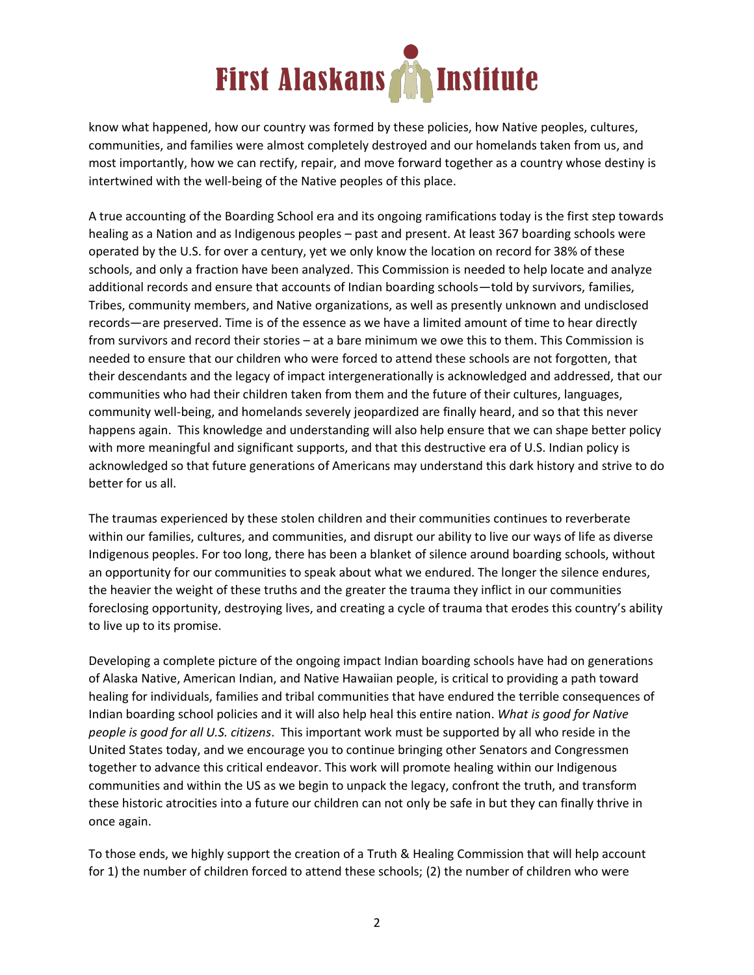

know what happened, how our country was formed by these policies, how Native peoples, cultures, communities, and families were almost completely destroyed and our homelands taken from us, and most importantly, how we can rectify, repair, and move forward together as a country whose destiny is intertwined with the well-being of the Native peoples of this place.

A true accounting of the Boarding School era and its ongoing ramifications today is the first step towards healing as a Nation and as Indigenous peoples – past and present. At least 367 boarding schools were operated by the U.S. for over a century, yet we only know the location on record for 38% of these schools, and only a fraction have been analyzed. This Commission is needed to help locate and analyze additional records and ensure that accounts of Indian boarding schools—told by survivors, families, Tribes, community members, and Native organizations, as well as presently unknown and undisclosed records—are preserved. Time is of the essence as we have a limited amount of time to hear directly from survivors and record their stories – at a bare minimum we owe this to them. This Commission is needed to ensure that our children who were forced to attend these schools are not forgotten, that their descendants and the legacy of impact intergenerationally is acknowledged and addressed, that our communities who had their children taken from them and the future of their cultures, languages, community well-being, and homelands severely jeopardized are finally heard, and so that this never happens again. This knowledge and understanding will also help ensure that we can shape better policy with more meaningful and significant supports, and that this destructive era of U.S. Indian policy is acknowledged so that future generations of Americans may understand this dark history and strive to do better for us all.

The traumas experienced by these stolen children and their communities continues to reverberate within our families, cultures, and communities, and disrupt our ability to live our ways of life as diverse Indigenous peoples. For too long, there has been a blanket of silence around boarding schools, without an opportunity for our communities to speak about what we endured. The longer the silence endures, the heavier the weight of these truths and the greater the trauma they inflict in our communities foreclosing opportunity, destroying lives, and creating a cycle of trauma that erodes this country's ability to live up to its promise.

Developing a complete picture of the ongoing impact Indian boarding schools have had on generations of Alaska Native, American Indian, and Native Hawaiian people, is critical to providing a path toward healing for individuals, families and tribal communities that have endured the terrible consequences of Indian boarding school policies and it will also help heal this entire nation. *What is good for Native people is good for all U.S. citizens*. This important work must be supported by all who reside in the United States today, and we encourage you to continue bringing other Senators and Congressmen together to advance this critical endeavor. This work will promote healing within our Indigenous communities and within the US as we begin to unpack the legacy, confront the truth, and transform these historic atrocities into a future our children can not only be safe in but they can finally thrive in once again.

To those ends, we highly support the creation of a Truth & Healing Commission that will help account for 1) the number of children forced to attend these schools; (2) the number of children who were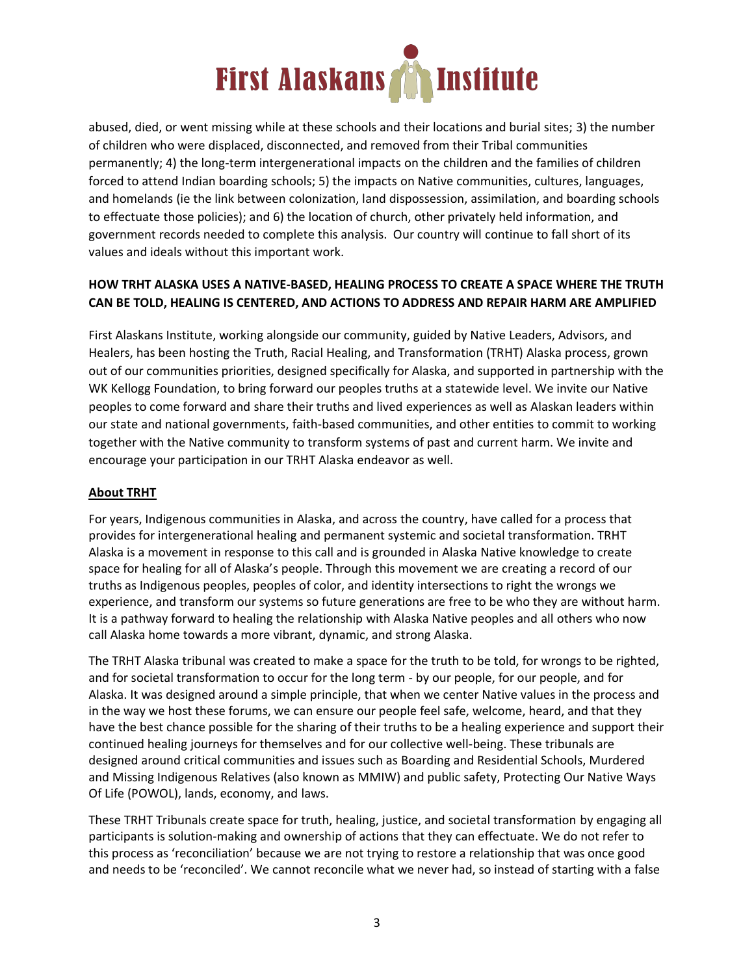

abused, died, or went missing while at these schools and their locations and burial sites; 3) the number of children who were displaced, disconnected, and removed from their Tribal communities permanently; 4) the long-term intergenerational impacts on the children and the families of children forced to attend Indian boarding schools; 5) the impacts on Native communities, cultures, languages, and homelands (ie the link between colonization, land dispossession, assimilation, and boarding schools to effectuate those policies); and 6) the location of church, other privately held information, and government records needed to complete this analysis. Our country will continue to fall short of its values and ideals without this important work.

# **HOW TRHT ALASKA USES A NATIVE-BASED, HEALING PROCESS TO CREATE A SPACE WHERE THE TRUTH CAN BE TOLD, HEALING IS CENTERED, AND ACTIONS TO ADDRESS AND REPAIR HARM ARE AMPLIFIED**

First Alaskans Institute, working alongside our community, guided by Native Leaders, Advisors, and Healers, has been hosting the Truth, Racial Healing, and Transformation (TRHT) Alaska process, grown out of our communities priorities, designed specifically for Alaska, and supported in partnership with the WK Kellogg Foundation, to bring forward our peoples truths at a statewide level. We invite our Native peoples to come forward and share their truths and lived experiences as well as Alaskan leaders within our state and national governments, faith-based communities, and other entities to commit to working together with the Native community to transform systems of past and current harm. We invite and encourage your participation in our TRHT Alaska endeavor as well.

# **About TRHT**

For years, Indigenous communities in Alaska, and across the country, have called for a process that provides for intergenerational healing and permanent systemic and societal transformation. TRHT Alaska is a movement in response to this call and is grounded in Alaska Native knowledge to create space for healing for all of Alaska's people. Through this movement we are creating a record of our truths as Indigenous peoples, peoples of color, and identity intersections to right the wrongs we experience, and transform our systems so future generations are free to be who they are without harm. It is a pathway forward to healing the relationship with Alaska Native peoples and all others who now call Alaska home towards a more vibrant, dynamic, and strong Alaska.

The TRHT Alaska tribunal was created to make a space for the truth to be told, for wrongs to be righted, and for societal transformation to occur for the long term - by our people, for our people, and for Alaska. It was designed around a simple principle, that when we center Native values in the process and in the way we host these forums, we can ensure our people feel safe, welcome, heard, and that they have the best chance possible for the sharing of their truths to be a healing experience and support their continued healing journeys for themselves and for our collective well-being. These tribunals are designed around critical communities and issues such as Boarding and Residential Schools, Murdered and Missing Indigenous Relatives (also known as MMIW) and public safety, Protecting Our Native Ways Of Life (POWOL), lands, economy, and laws.

These TRHT Tribunals create space for truth, healing, justice, and societal transformation by engaging all participants is solution-making and ownership of actions that they can effectuate. We do not refer to this process as 'reconciliation' because we are not trying to restore a relationship that was once good and needs to be 'reconciled'. We cannot reconcile what we never had, so instead of starting with a false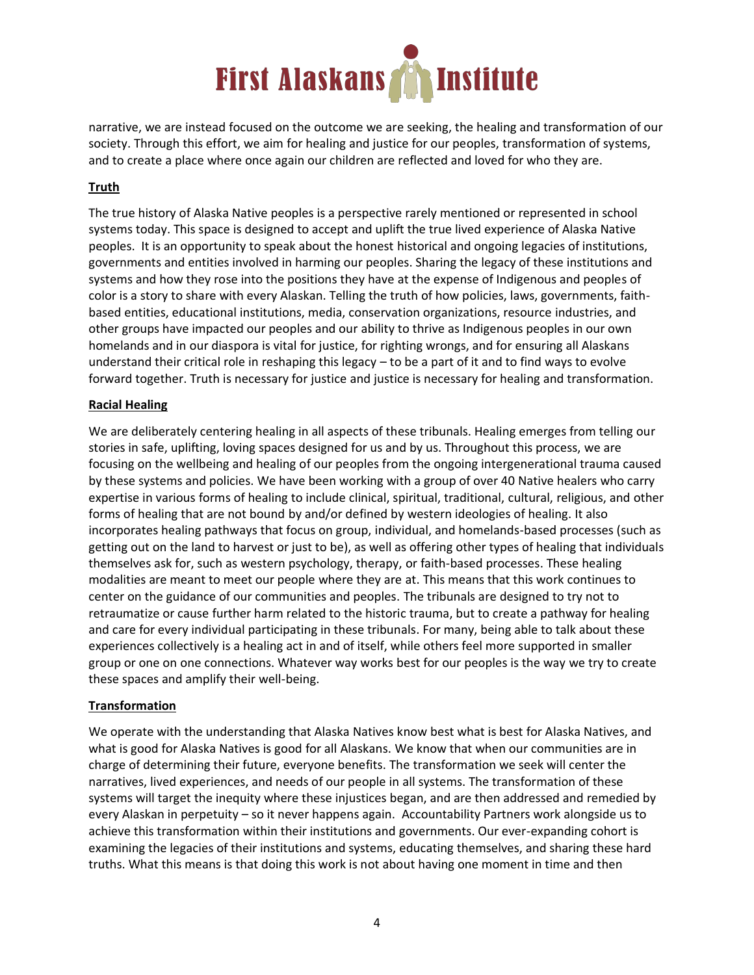

narrative, we are instead focused on the outcome we are seeking, the healing and transformation of our society. Through this effort, we aim for healing and justice for our peoples, transformation of systems, and to create a place where once again our children are reflected and loved for who they are.

# **Truth**

The true history of Alaska Native peoples is a perspective rarely mentioned or represented in school systems today. This space is designed to accept and uplift the true lived experience of Alaska Native peoples. It is an opportunity to speak about the honest historical and ongoing legacies of institutions, governments and entities involved in harming our peoples. Sharing the legacy of these institutions and systems and how they rose into the positions they have at the expense of Indigenous and peoples of color is a story to share with every Alaskan. Telling the truth of how policies, laws, governments, faithbased entities, educational institutions, media, conservation organizations, resource industries, and other groups have impacted our peoples and our ability to thrive as Indigenous peoples in our own homelands and in our diaspora is vital for justice, for righting wrongs, and for ensuring all Alaskans understand their critical role in reshaping this legacy – to be a part of it and to find ways to evolve forward together. Truth is necessary for justice and justice is necessary for healing and transformation.

#### **Racial Healing**

We are deliberately centering healing in all aspects of these tribunals. Healing emerges from telling our stories in safe, uplifting, loving spaces designed for us and by us. Throughout this process, we are focusing on the wellbeing and healing of our peoples from the ongoing intergenerational trauma caused by these systems and policies. We have been working with a group of over 40 Native healers who carry expertise in various forms of healing to include clinical, spiritual, traditional, cultural, religious, and other forms of healing that are not bound by and/or defined by western ideologies of healing. It also incorporates healing pathways that focus on group, individual, and homelands-based processes (such as getting out on the land to harvest or just to be), as well as offering other types of healing that individuals themselves ask for, such as western psychology, therapy, or faith-based processes. These healing modalities are meant to meet our people where they are at. This means that this work continues to center on the guidance of our communities and peoples. The tribunals are designed to try not to retraumatize or cause further harm related to the historic trauma, but to create a pathway for healing and care for every individual participating in these tribunals. For many, being able to talk about these experiences collectively is a healing act in and of itself, while others feel more supported in smaller group or one on one connections. Whatever way works best for our peoples is the way we try to create these spaces and amplify their well-being.

#### **Transformation**

We operate with the understanding that Alaska Natives know best what is best for Alaska Natives, and what is good for Alaska Natives is good for all Alaskans. We know that when our communities are in charge of determining their future, everyone benefits. The transformation we seek will center the narratives, lived experiences, and needs of our people in all systems. The transformation of these systems will target the inequity where these injustices began, and are then addressed and remedied by every Alaskan in perpetuity – so it never happens again. Accountability Partners work alongside us to achieve this transformation within their institutions and governments. Our ever-expanding cohort is examining the legacies of their institutions and systems, educating themselves, and sharing these hard truths. What this means is that doing this work is not about having one moment in time and then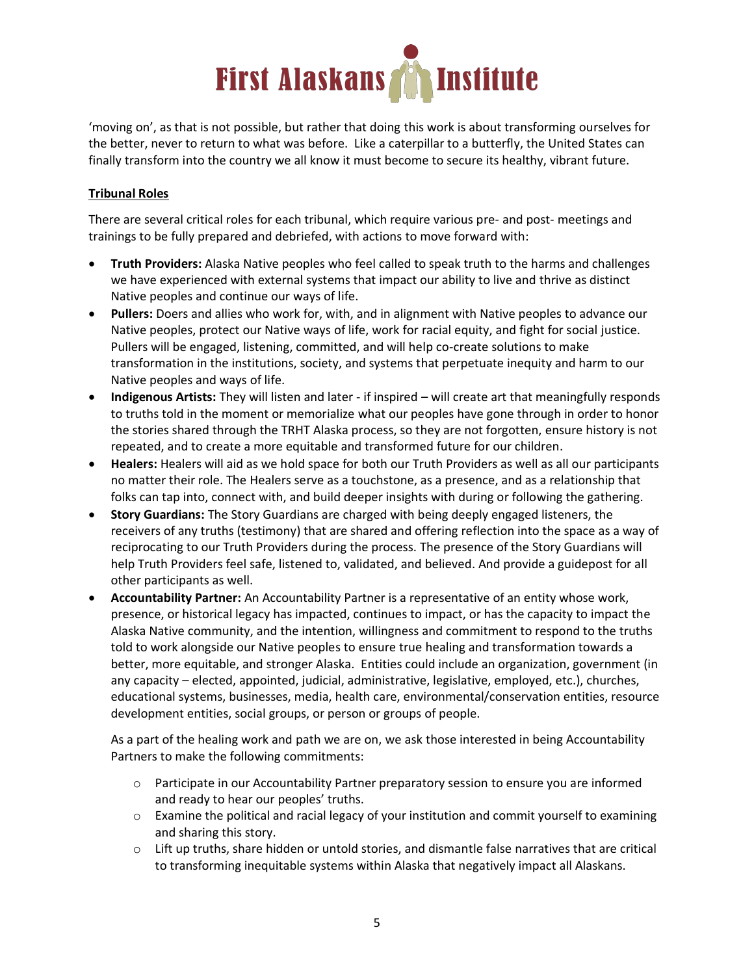

'moving on', as that is not possible, but rather that doing this work is about transforming ourselves for the better, never to return to what was before. Like a caterpillar to a butterfly, the United States can finally transform into the country we all know it must become to secure its healthy, vibrant future.

## **Tribunal Roles**

There are several critical roles for each tribunal, which require various pre- and post- meetings and trainings to be fully prepared and debriefed, with actions to move forward with:

- **Truth Providers:** Alaska Native peoples who feel called to speak truth to the harms and challenges we have experienced with external systems that impact our ability to live and thrive as distinct Native peoples and continue our ways of life.
- **Pullers:** Doers and allies who work for, with, and in alignment with Native peoples to advance our Native peoples, protect our Native ways of life, work for racial equity, and fight for social justice. Pullers will be engaged, listening, committed, and will help co-create solutions to make transformation in the institutions, society, and systems that perpetuate inequity and harm to our Native peoples and ways of life.
- **Indigenous Artists:** They will listen and later if inspired will create art that meaningfully responds to truths told in the moment or memorialize what our peoples have gone through in order to honor the stories shared through the TRHT Alaska process, so they are not forgotten, ensure history is not repeated, and to create a more equitable and transformed future for our children.
- **Healers:** Healers will aid as we hold space for both our Truth Providers as well as all our participants no matter their role. The Healers serve as a touchstone, as a presence, and as a relationship that folks can tap into, connect with, and build deeper insights with during or following the gathering.
- **Story Guardians:** The Story Guardians are charged with being deeply engaged listeners, the receivers of any truths (testimony) that are shared and offering reflection into the space as a way of reciprocating to our Truth Providers during the process. The presence of the Story Guardians will help Truth Providers feel safe, listened to, validated, and believed. And provide a guidepost for all other participants as well.
- **Accountability Partner:** An Accountability Partner is a representative of an entity whose work, presence, or historical legacy has impacted, continues to impact, or has the capacity to impact the Alaska Native community, and the intention, willingness and commitment to respond to the truths told to work alongside our Native peoples to ensure true healing and transformation towards a better, more equitable, and stronger Alaska. Entities could include an organization, government (in any capacity – elected, appointed, judicial, administrative, legislative, employed, etc.), churches, educational systems, businesses, media, health care, environmental/conservation entities, resource development entities, social groups, or person or groups of people.

As a part of the healing work and path we are on, we ask those interested in being Accountability Partners to make the following commitments:

- o Participate in our Accountability Partner preparatory session to ensure you are informed and ready to hear our peoples' truths.
- $\circ$  Examine the political and racial legacy of your institution and commit yourself to examining and sharing this story.
- $\circ$  Lift up truths, share hidden or untold stories, and dismantle false narratives that are critical to transforming inequitable systems within Alaska that negatively impact all Alaskans.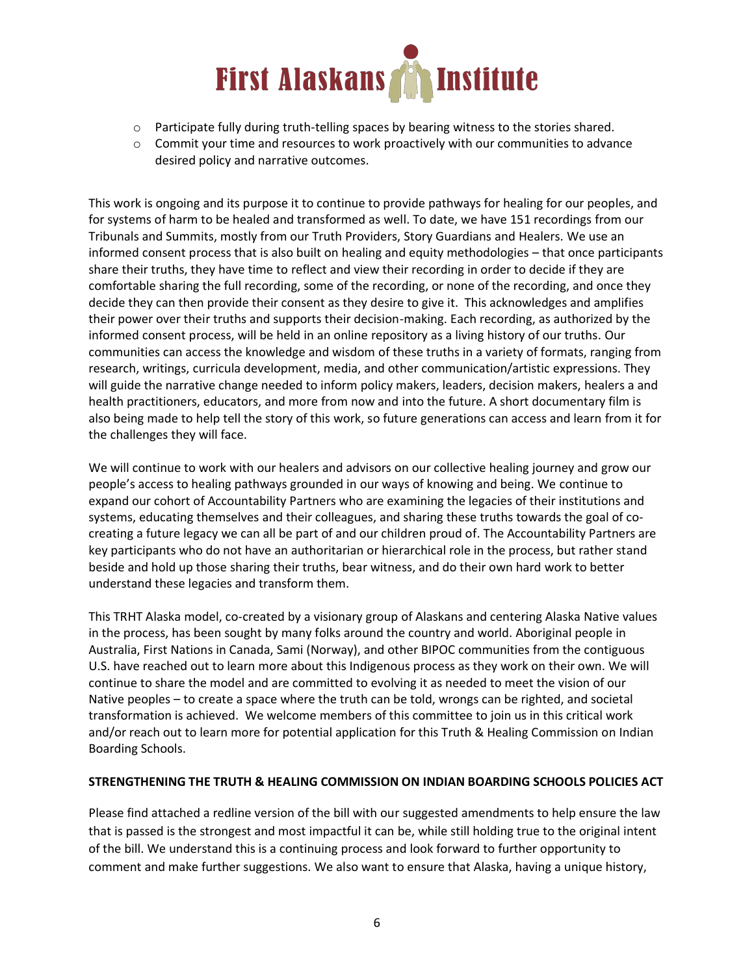

- $\circ$  Participate fully during truth-telling spaces by bearing witness to the stories shared.
- $\circ$  Commit your time and resources to work proactively with our communities to advance desired policy and narrative outcomes.

This work is ongoing and its purpose it to continue to provide pathways for healing for our peoples, and for systems of harm to be healed and transformed as well. To date, we have 151 recordings from our Tribunals and Summits, mostly from our Truth Providers, Story Guardians and Healers. We use an informed consent process that is also built on healing and equity methodologies – that once participants share their truths, they have time to reflect and view their recording in order to decide if they are comfortable sharing the full recording, some of the recording, or none of the recording, and once they decide they can then provide their consent as they desire to give it. This acknowledges and amplifies their power over their truths and supports their decision-making. Each recording, as authorized by the informed consent process, will be held in an online repository as a living history of our truths. Our communities can access the knowledge and wisdom of these truths in a variety of formats, ranging from research, writings, curricula development, media, and other communication/artistic expressions. They will guide the narrative change needed to inform policy makers, leaders, decision makers, healers a and health practitioners, educators, and more from now and into the future. A short documentary film is also being made to help tell the story of this work, so future generations can access and learn from it for the challenges they will face.

We will continue to work with our healers and advisors on our collective healing journey and grow our people's access to healing pathways grounded in our ways of knowing and being. We continue to expand our cohort of Accountability Partners who are examining the legacies of their institutions and systems, educating themselves and their colleagues, and sharing these truths towards the goal of cocreating a future legacy we can all be part of and our children proud of. The Accountability Partners are key participants who do not have an authoritarian or hierarchical role in the process, but rather stand beside and hold up those sharing their truths, bear witness, and do their own hard work to better understand these legacies and transform them.

This TRHT Alaska model, co-created by a visionary group of Alaskans and centering Alaska Native values in the process, has been sought by many folks around the country and world. Aboriginal people in Australia, First Nations in Canada, Sami (Norway), and other BIPOC communities from the contiguous U.S. have reached out to learn more about this Indigenous process as they work on their own. We will continue to share the model and are committed to evolving it as needed to meet the vision of our Native peoples – to create a space where the truth can be told, wrongs can be righted, and societal transformation is achieved. We welcome members of this committee to join us in this critical work and/or reach out to learn more for potential application for this Truth & Healing Commission on Indian Boarding Schools.

### **STRENGTHENING THE TRUTH & HEALING COMMISSION ON INDIAN BOARDING SCHOOLS POLICIES ACT**

Please find attached a redline version of the bill with our suggested amendments to help ensure the law that is passed is the strongest and most impactful it can be, while still holding true to the original intent of the bill. We understand this is a continuing process and look forward to further opportunity to comment and make further suggestions. We also want to ensure that Alaska, having a unique history,